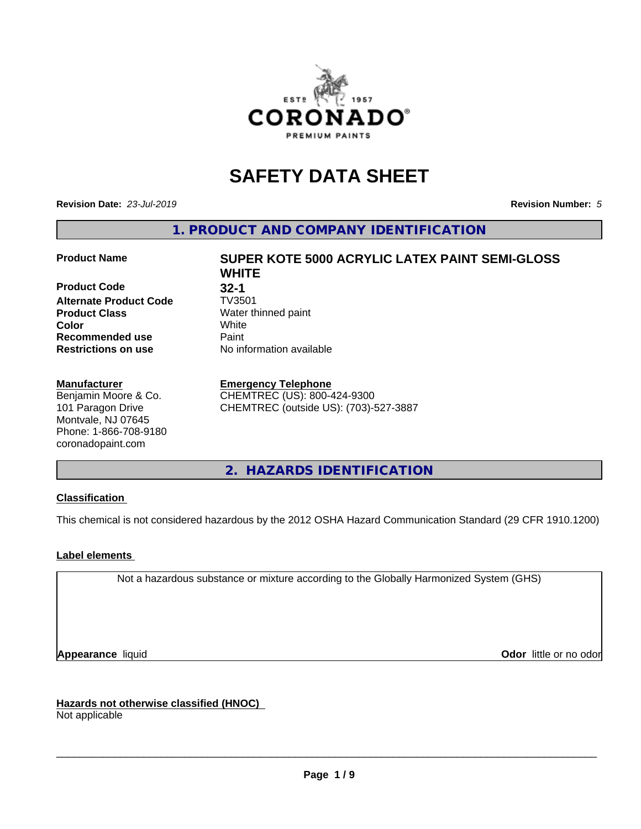

# **SAFETY DATA SHEET**

**Revision Date:** *23-Jul-2019* **Revision Number:** *5*

**1. PRODUCT AND COMPANY IDENTIFICATION**

**Product Code 61 132-1**<br>**Alternate Product Code** TV3501 **Alternate Product Code Product Class** Water thinned paint<br> **Color** White **Color** White **Recommended use Caint Restrictions on use** No information available

#### **Manufacturer**

Benjamin Moore & Co. 101 Paragon Drive Montvale, NJ 07645 Phone: 1-866-708-9180 coronadopaint.com

# **Product Name SUPER KOTE 5000 ACRYLIC LATEX PAINT SEMI-GLOSS WHITE**

#### **Emergency Telephone**

CHEMTREC (US): 800-424-9300 CHEMTREC (outside US): (703)-527-3887

## **2. HAZARDS IDENTIFICATION**

#### **Classification**

This chemical is not considered hazardous by the 2012 OSHA Hazard Communication Standard (29 CFR 1910.1200)

#### **Label elements**

Not a hazardous substance or mixture according to the Globally Harmonized System (GHS)

**Appearance** liquid **Contract Contract Contract Contract Contract Contract Contract Contract Contract Contract Contract Contract Contract Contract Contract Contract Contract Contract Contract Contract Contract Contract Con** 

**Hazards not otherwise classified (HNOC)**

Not applicable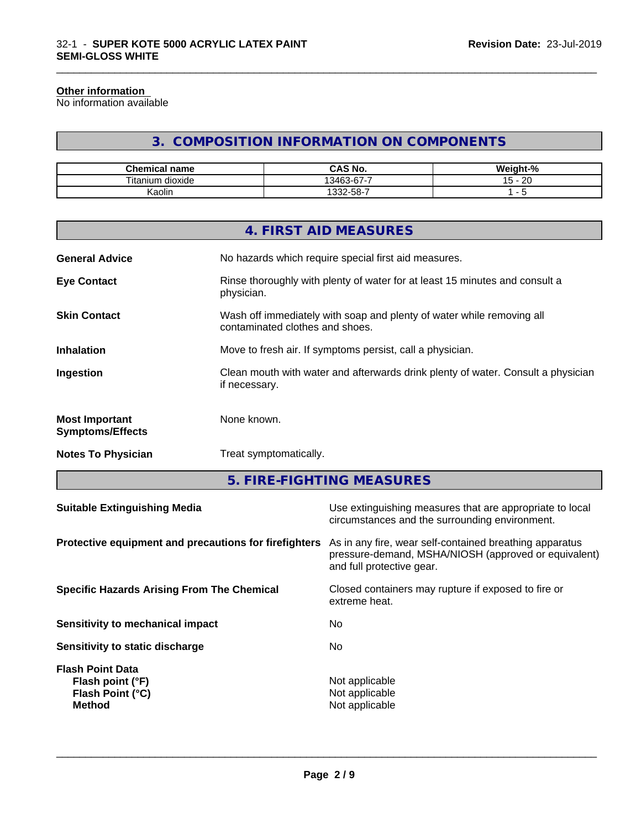#### **Other information**

No information available

## **3. COMPOSITION INFORMATION ON COMPONENTS**

\_\_\_\_\_\_\_\_\_\_\_\_\_\_\_\_\_\_\_\_\_\_\_\_\_\_\_\_\_\_\_\_\_\_\_\_\_\_\_\_\_\_\_\_\_\_\_\_\_\_\_\_\_\_\_\_\_\_\_\_\_\_\_\_\_\_\_\_\_\_\_\_\_\_\_\_\_\_\_\_\_\_\_\_\_\_\_\_\_\_\_\_\_

| <b>Chemical name</b>      | CAS No.<br>r۸                   | <br>$\sim$<br>veight-".<br>'70 |
|---------------------------|---------------------------------|--------------------------------|
| Titaniu<br>dioxide<br>um. | $\sim$<br>-<br>13463<br>$3 - n$ | ററ<br>. –<br>∼<br>             |
| <br>Kaolin                | აკ2-58-7                        |                                |

|                                                  | 4. FIRST AID MEASURES                                                                                    |
|--------------------------------------------------|----------------------------------------------------------------------------------------------------------|
| <b>General Advice</b>                            | No hazards which require special first aid measures.                                                     |
| <b>Eye Contact</b>                               | Rinse thoroughly with plenty of water for at least 15 minutes and consult a<br>physician.                |
| <b>Skin Contact</b>                              | Wash off immediately with soap and plenty of water while removing all<br>contaminated clothes and shoes. |
| <b>Inhalation</b>                                | Move to fresh air. If symptoms persist, call a physician.                                                |
| Ingestion                                        | Clean mouth with water and afterwards drink plenty of water. Consult a physician<br>if necessary.        |
| <b>Most Important</b><br><b>Symptoms/Effects</b> | None known.                                                                                              |
| <b>Notes To Physician</b>                        | Treat symptomatically.                                                                                   |

**5. FIRE-FIGHTING MEASURES**

| As in any fire, wear self-contained breathing apparatus<br>pressure-demand, MSHA/NIOSH (approved or equivalent)<br>and full protective gear.<br>Closed containers may rupture if exposed to fire or<br>extreme heat.<br>No<br>No.<br>Not applicable<br>Flash point (°F)<br>Not applicable<br>Flash Point (°C)<br><b>Method</b><br>Not applicable | <b>Suitable Extinguishing Media</b>                   | Use extinguishing measures that are appropriate to local<br>circumstances and the surrounding environment. |
|--------------------------------------------------------------------------------------------------------------------------------------------------------------------------------------------------------------------------------------------------------------------------------------------------------------------------------------------------|-------------------------------------------------------|------------------------------------------------------------------------------------------------------------|
|                                                                                                                                                                                                                                                                                                                                                  | Protective equipment and precautions for firefighters |                                                                                                            |
|                                                                                                                                                                                                                                                                                                                                                  | <b>Specific Hazards Arising From The Chemical</b>     |                                                                                                            |
|                                                                                                                                                                                                                                                                                                                                                  | Sensitivity to mechanical impact                      |                                                                                                            |
|                                                                                                                                                                                                                                                                                                                                                  | Sensitivity to static discharge                       |                                                                                                            |
|                                                                                                                                                                                                                                                                                                                                                  | <b>Flash Point Data</b>                               |                                                                                                            |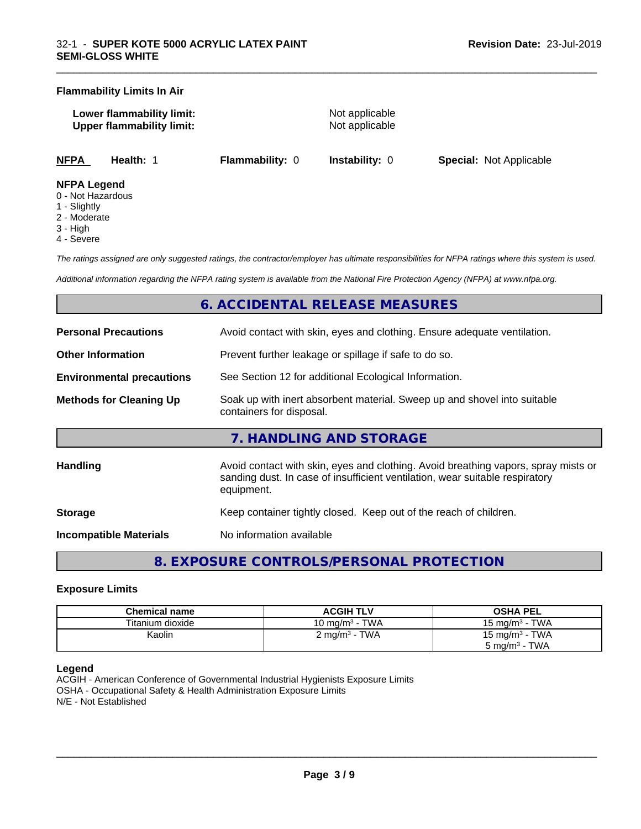#### **Flammability Limits In Air**

**Lower flammability limit:** Not applicable **Upper flammability limit:** Not applicable

\_\_\_\_\_\_\_\_\_\_\_\_\_\_\_\_\_\_\_\_\_\_\_\_\_\_\_\_\_\_\_\_\_\_\_\_\_\_\_\_\_\_\_\_\_\_\_\_\_\_\_\_\_\_\_\_\_\_\_\_\_\_\_\_\_\_\_\_\_\_\_\_\_\_\_\_\_\_\_\_\_\_\_\_\_\_\_\_\_\_\_\_\_

**NFPA Health:** 1 **Flammability:** 0 **Instability:** 0 **Special:** Not Applicable

#### **NFPA Legend**

- 0 Not Hazardous
- 1 Slightly
- 2 Moderate
- 3 High
- 4 Severe

*The ratings assigned are only suggested ratings, the contractor/employer has ultimate responsibilities for NFPA ratings where this system is used.*

*Additional information regarding the NFPA rating system is available from the National Fire Protection Agency (NFPA) at www.nfpa.org.*

## **6. ACCIDENTAL RELEASE MEASURES**

| <b>Personal Precautions</b>      | Avoid contact with skin, eyes and clothing. Ensure adequate ventilation.                                                                                                         |  |  |  |
|----------------------------------|----------------------------------------------------------------------------------------------------------------------------------------------------------------------------------|--|--|--|
| <b>Other Information</b>         | Prevent further leakage or spillage if safe to do so.                                                                                                                            |  |  |  |
| <b>Environmental precautions</b> | See Section 12 for additional Ecological Information.                                                                                                                            |  |  |  |
| <b>Methods for Cleaning Up</b>   | Soak up with inert absorbent material. Sweep up and shovel into suitable<br>containers for disposal.                                                                             |  |  |  |
|                                  | 7. HANDLING AND STORAGE                                                                                                                                                          |  |  |  |
| <b>Handling</b>                  | Avoid contact with skin, eyes and clothing. Avoid breathing vapors, spray mists or<br>sanding dust. In case of insufficient ventilation, wear suitable respiratory<br>equipment. |  |  |  |
| <b>Storage</b>                   | Keep container tightly closed. Keep out of the reach of children.                                                                                                                |  |  |  |
| <b>Incompatible Materials</b>    | No information available                                                                                                                                                         |  |  |  |

**8. EXPOSURE CONTROLS/PERSONAL PROTECTION**

#### **Exposure Limits**

| Chemical name    | <b>ACGIH TLV</b>                | <b>OSHA PEL</b>                 |
|------------------|---------------------------------|---------------------------------|
| Titanium dioxide | · TWA<br>10 mg/m <sup>3</sup> - | <b>TWA</b><br>15 mg/m $3 \cdot$ |
| Kaolin           | $2 \text{ mg/m}^3$ - TWA        | 15 mg/m $3$ - TWA               |
|                  |                                 | TWA<br>5 mg/m <sup>3</sup> -    |

#### **Legend**

ACGIH - American Conference of Governmental Industrial Hygienists Exposure Limits OSHA - Occupational Safety & Health Administration Exposure Limits N/E - Not Established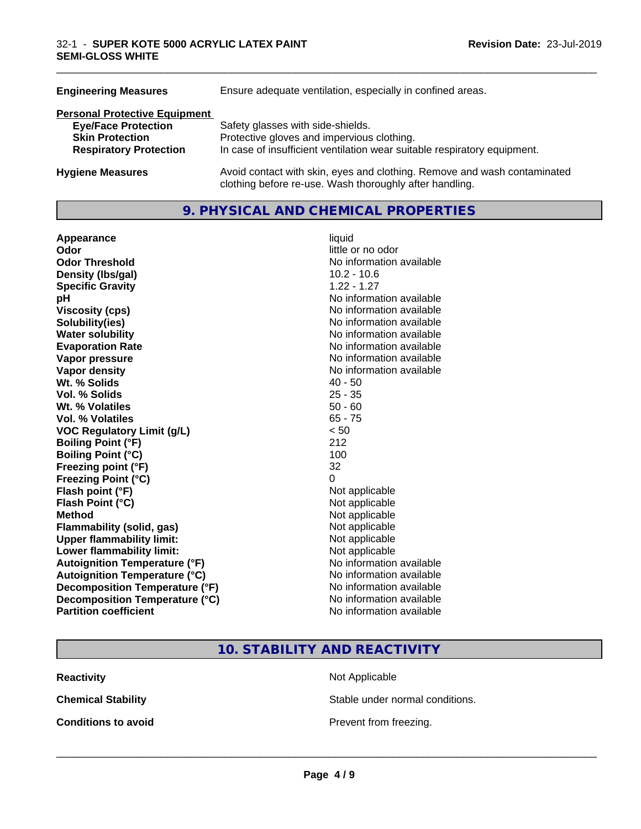| <b>Engineering Measures</b>          | Ensure adequate ventilation, especially in confined areas.                                                                          |  |  |  |  |
|--------------------------------------|-------------------------------------------------------------------------------------------------------------------------------------|--|--|--|--|
| <b>Personal Protective Equipment</b> |                                                                                                                                     |  |  |  |  |
| <b>Eye/Face Protection</b>           | Safety glasses with side-shields.                                                                                                   |  |  |  |  |
| <b>Skin Protection</b>               | Protective gloves and impervious clothing.                                                                                          |  |  |  |  |
| <b>Respiratory Protection</b>        | In case of insufficient ventilation wear suitable respiratory equipment.                                                            |  |  |  |  |
| <b>Hygiene Measures</b>              | Avoid contact with skin, eyes and clothing. Remove and wash contaminated<br>clothing before re-use. Wash thoroughly after handling. |  |  |  |  |

### **9. PHYSICAL AND CHEMICAL PROPERTIES**

**Appearance** liquid **Odor** little or no odor **Odor Threshold No information available No information available Density (Ibs/gal)** 10.2 - 10.6 **Specific Gravity** 1.22 - 1.27 **pH** No information available **Viscosity (cps)**<br> **Viscosity (cps)**<br> **Solubility(ies)**<br> **Solubility(ies)**<br> **No** information available **Water solubility**<br> **Evaporation Rate**<br> **Evaporation Rate**<br> **Evaporation Rate Vapor pressure** No information available **Vapor density** No information available Wt. % Solids **Vol. % Solids** 25 - 35 **Wt. % Volatiles** 50 - 60 **Vol. % Volatiles** 65 - 75 **VOC Regulatory Limit (g/L)** < 50 **Boiling Point (°F)** 212 **Boiling Point (°C) Freezing point (°F)** 32 **Freezing Point (°C)** 0 **Flash point (°F)** Not applicable **Flash Point (°C)** Not applicable **Method**<br> **Flammability (solid, gas)**<br> **Commability (solid, gas)**<br>
Mot applicable **Flammability** (solid, gas) **Upper flammability limit:** Not applicable **Lower flammability limit:** Not applicable **Autoignition Temperature (°F)** No information available **Autoignition Temperature (°C)** No information available **Decomposition Temperature (°F)** No information available **Decomposition Temperature (°C)** No information available **Partition coefficient** No information available

**Solubility(ies)** No information available **Evaporation Rate** No information available

\_\_\_\_\_\_\_\_\_\_\_\_\_\_\_\_\_\_\_\_\_\_\_\_\_\_\_\_\_\_\_\_\_\_\_\_\_\_\_\_\_\_\_\_\_\_\_\_\_\_\_\_\_\_\_\_\_\_\_\_\_\_\_\_\_\_\_\_\_\_\_\_\_\_\_\_\_\_\_\_\_\_\_\_\_\_\_\_\_\_\_\_\_

**10. STABILITY AND REACTIVITY**

**Reactivity Not Applicable Not Applicable** 

**Chemical Stability Stable under normal conditions.** 

**Conditions to avoid Conditions to avoid Prevent from freezing.**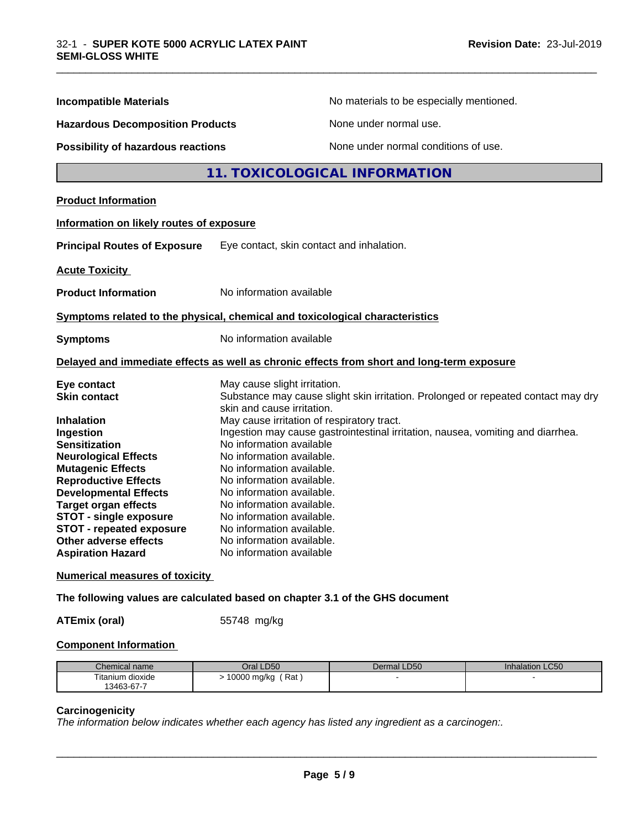| <b>Incompatible Materials</b>                                                                                                                                                                                                                                                                                                            | No materials to be especially mentioned.                                                                                                                                                                                                                                                                                                                                                                                      |
|------------------------------------------------------------------------------------------------------------------------------------------------------------------------------------------------------------------------------------------------------------------------------------------------------------------------------------------|-------------------------------------------------------------------------------------------------------------------------------------------------------------------------------------------------------------------------------------------------------------------------------------------------------------------------------------------------------------------------------------------------------------------------------|
| <b>Hazardous Decomposition Products</b>                                                                                                                                                                                                                                                                                                  | None under normal use.                                                                                                                                                                                                                                                                                                                                                                                                        |
| <b>Possibility of hazardous reactions</b>                                                                                                                                                                                                                                                                                                | None under normal conditions of use.                                                                                                                                                                                                                                                                                                                                                                                          |
|                                                                                                                                                                                                                                                                                                                                          | 11. TOXICOLOGICAL INFORMATION                                                                                                                                                                                                                                                                                                                                                                                                 |
| <b>Product Information</b>                                                                                                                                                                                                                                                                                                               |                                                                                                                                                                                                                                                                                                                                                                                                                               |
| Information on likely routes of exposure                                                                                                                                                                                                                                                                                                 |                                                                                                                                                                                                                                                                                                                                                                                                                               |
| <b>Principal Routes of Exposure</b>                                                                                                                                                                                                                                                                                                      | Eye contact, skin contact and inhalation.                                                                                                                                                                                                                                                                                                                                                                                     |
| <b>Acute Toxicity</b>                                                                                                                                                                                                                                                                                                                    |                                                                                                                                                                                                                                                                                                                                                                                                                               |
| <b>Product Information</b>                                                                                                                                                                                                                                                                                                               | No information available                                                                                                                                                                                                                                                                                                                                                                                                      |
|                                                                                                                                                                                                                                                                                                                                          | Symptoms related to the physical, chemical and toxicological characteristics                                                                                                                                                                                                                                                                                                                                                  |
| <b>Symptoms</b>                                                                                                                                                                                                                                                                                                                          | No information available                                                                                                                                                                                                                                                                                                                                                                                                      |
|                                                                                                                                                                                                                                                                                                                                          | Delayed and immediate effects as well as chronic effects from short and long-term exposure                                                                                                                                                                                                                                                                                                                                    |
| Eye contact<br><b>Skin contact</b>                                                                                                                                                                                                                                                                                                       | May cause slight irritation.<br>Substance may cause slight skin irritation. Prolonged or repeated contact may dry<br>skin and cause irritation.                                                                                                                                                                                                                                                                               |
| <b>Inhalation</b><br>Ingestion<br><b>Sensitization</b><br><b>Neurological Effects</b><br><b>Mutagenic Effects</b><br><b>Reproductive Effects</b><br><b>Developmental Effects</b><br><b>Target organ effects</b><br><b>STOT - single exposure</b><br><b>STOT - repeated exposure</b><br>Other adverse effects<br><b>Aspiration Hazard</b> | May cause irritation of respiratory tract.<br>Ingestion may cause gastrointestinal irritation, nausea, vomiting and diarrhea.<br>No information available<br>No information available.<br>No information available.<br>No information available.<br>No information available.<br>No information available.<br>No information available.<br>No information available.<br>No information available.<br>No information available |

\_\_\_\_\_\_\_\_\_\_\_\_\_\_\_\_\_\_\_\_\_\_\_\_\_\_\_\_\_\_\_\_\_\_\_\_\_\_\_\_\_\_\_\_\_\_\_\_\_\_\_\_\_\_\_\_\_\_\_\_\_\_\_\_\_\_\_\_\_\_\_\_\_\_\_\_\_\_\_\_\_\_\_\_\_\_\_\_\_\_\_\_\_

#### **Numerical measures of toxicity**

**The following values are calculated based on chapter 3.1 of the GHS document**

**ATEmix (oral)** 55748 mg/kg

#### **Component Information**

| Chemical name                   | Oral LD50          | Dermal LD50 | <b>Inhalation LC50</b> |
|---------------------------------|--------------------|-------------|------------------------|
| $- \cdot$ .<br>Fitanium dioxide | 10000 mg/kg<br>Rat |             |                        |
| 13463-67-7                      |                    |             |                        |

#### **Carcinogenicity**

*The information below indicateswhether each agency has listed any ingredient as a carcinogen:.*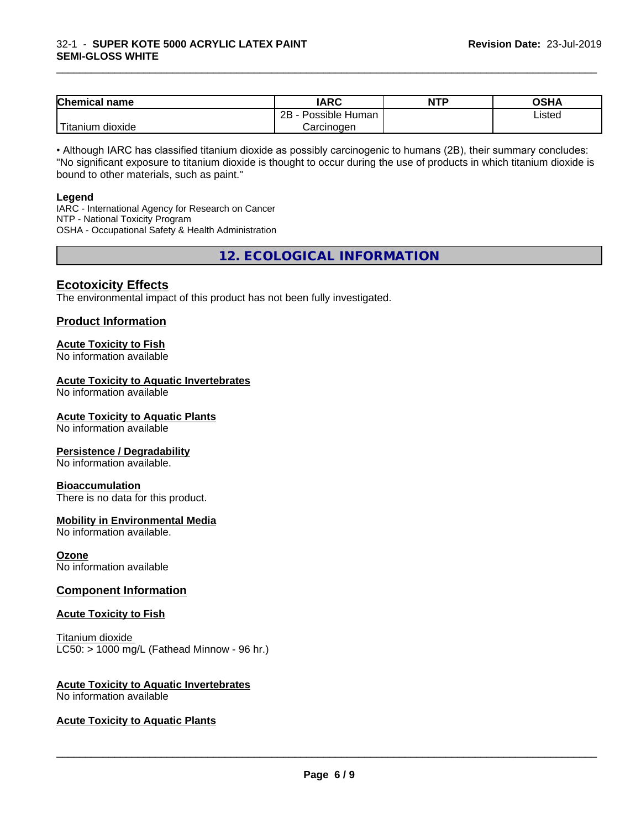| <b>Chemical name</b>                | <b>IARC</b>          | <b>NTP</b> | <b>OSHA</b> |
|-------------------------------------|----------------------|------------|-------------|
|                                     | 2B<br>Possible Human |            | Listed      |
| .<br>n dioxide.<br><u>I</u> itanium | Carcinoɑen           |            |             |

\_\_\_\_\_\_\_\_\_\_\_\_\_\_\_\_\_\_\_\_\_\_\_\_\_\_\_\_\_\_\_\_\_\_\_\_\_\_\_\_\_\_\_\_\_\_\_\_\_\_\_\_\_\_\_\_\_\_\_\_\_\_\_\_\_\_\_\_\_\_\_\_\_\_\_\_\_\_\_\_\_\_\_\_\_\_\_\_\_\_\_\_\_

• Although IARC has classified titanium dioxide as possibly carcinogenic to humans (2B), their summary concludes: "No significant exposure to titanium dioxide is thought to occur during the use of products in which titanium dioxide is bound to other materials, such as paint."

#### **Legend**

IARC - International Agency for Research on Cancer NTP - National Toxicity Program OSHA - Occupational Safety & Health Administration

**12. ECOLOGICAL INFORMATION**

#### **Ecotoxicity Effects**

The environmental impact of this product has not been fully investigated.

#### **Product Information**

#### **Acute Toxicity to Fish**

No information available

### **Acute Toxicity to Aquatic Invertebrates**

No information available

#### **Acute Toxicity to Aquatic Plants**

No information available

#### **Persistence / Degradability**

No information available.

#### **Bioaccumulation**

There is no data for this product.

#### **Mobility in Environmental Media**

No information available.

#### **Ozone**

No information available

#### **Component Information**

#### **Acute Toxicity to Fish**

Titanium dioxide  $\overline{\text{LC50}}$ : > 1000 mg/L (Fathead Minnow - 96 hr.)

## **Acute Toxicity to Aquatic Invertebrates**

No information available

#### **Acute Toxicity to Aquatic Plants**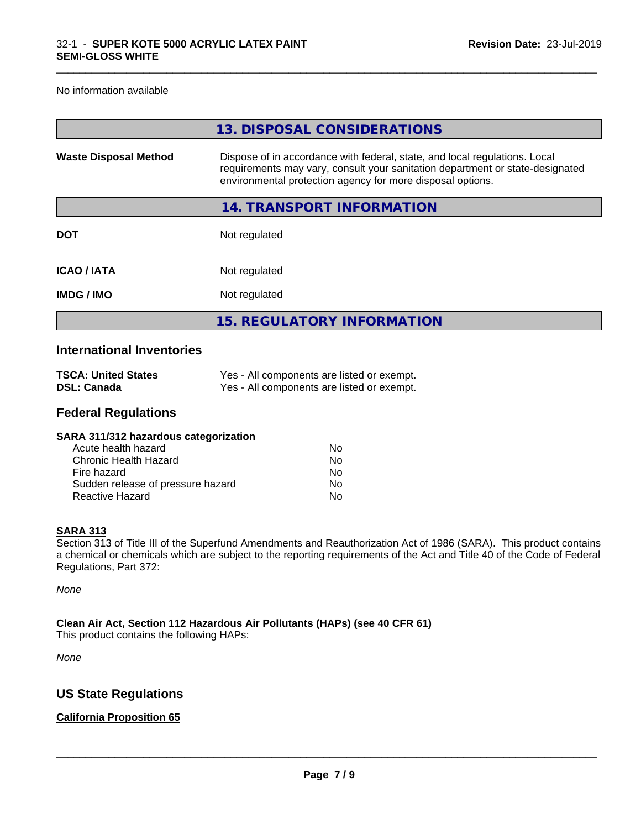#### No information available

|                              | 13. DISPOSAL CONSIDERATIONS                                                                                                                                                                                               |
|------------------------------|---------------------------------------------------------------------------------------------------------------------------------------------------------------------------------------------------------------------------|
| <b>Waste Disposal Method</b> | Dispose of in accordance with federal, state, and local regulations. Local<br>requirements may vary, consult your sanitation department or state-designated<br>environmental protection agency for more disposal options. |
|                              | 14. TRANSPORT INFORMATION                                                                                                                                                                                                 |
| <b>DOT</b>                   | Not regulated                                                                                                                                                                                                             |
| <b>ICAO/IATA</b>             | Not regulated                                                                                                                                                                                                             |
| <b>IMDG/IMO</b>              | Not regulated                                                                                                                                                                                                             |
|                              | <b>15. REGULATORY INFORMATION</b>                                                                                                                                                                                         |

\_\_\_\_\_\_\_\_\_\_\_\_\_\_\_\_\_\_\_\_\_\_\_\_\_\_\_\_\_\_\_\_\_\_\_\_\_\_\_\_\_\_\_\_\_\_\_\_\_\_\_\_\_\_\_\_\_\_\_\_\_\_\_\_\_\_\_\_\_\_\_\_\_\_\_\_\_\_\_\_\_\_\_\_\_\_\_\_\_\_\_\_\_

## **International Inventories**

| <b>TSCA: United States</b> | Yes - All components are listed or exempt. |
|----------------------------|--------------------------------------------|
| DSL: Canada                | Yes - All components are listed or exempt. |

#### **Federal Regulations**

| Nο |  |
|----|--|
| Nο |  |
| Nο |  |
| No |  |
| No |  |
|    |  |

#### **SARA 313**

Section 313 of Title III of the Superfund Amendments and Reauthorization Act of 1986 (SARA). This product contains a chemical or chemicals which are subject to the reporting requirements of the Act and Title 40 of the Code of Federal Regulations, Part 372:

*None*

**Clean Air Act,Section 112 Hazardous Air Pollutants (HAPs) (see 40 CFR 61)** This product contains the following HAPs:

*None*

## **US State Regulations**

#### **California Proposition 65**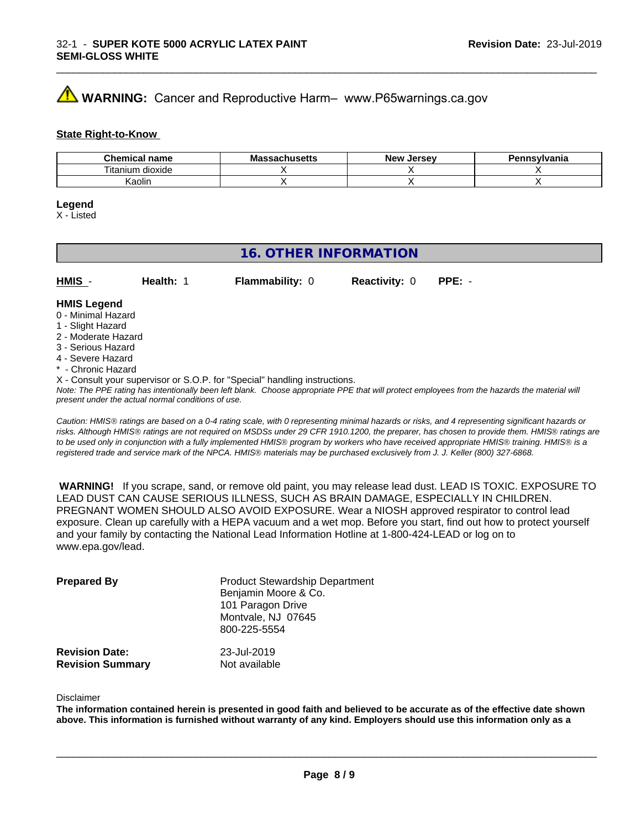## **AVIMARNING:** Cancer and Reproductive Harm– www.P65warnings.ca.gov

#### **State Right-to-Know**

| Chemical<br>name      | M۰<br>.ehee <del>l</del> k<br>No<br>⊶atiluscus | <b>Jersev</b><br><b>Nev</b> | Pennsvlvania |
|-----------------------|------------------------------------------------|-----------------------------|--------------|
| ⊦dioxide<br>l itanium |                                                |                             |              |
| Kaolin                |                                                |                             |              |

\_\_\_\_\_\_\_\_\_\_\_\_\_\_\_\_\_\_\_\_\_\_\_\_\_\_\_\_\_\_\_\_\_\_\_\_\_\_\_\_\_\_\_\_\_\_\_\_\_\_\_\_\_\_\_\_\_\_\_\_\_\_\_\_\_\_\_\_\_\_\_\_\_\_\_\_\_\_\_\_\_\_\_\_\_\_\_\_\_\_\_\_\_

#### **Legend**

X - Listed

## **16. OTHER INFORMATION**

| HMIS        | Health: 1 | <b>Flammability: 0</b> | <b>Reactivity: 0</b> | $PPE: -$ |  |
|-------------|-----------|------------------------|----------------------|----------|--|
| hana I 2IMH |           |                        |                      |          |  |

#### **HMIS Legend** 0 - Minimal Hazard

- 1 Slight Hazard
- 2 Moderate Hazard
- 3 Serious Hazard
- 4 Severe Hazard
- \* Chronic Hazard
- X Consult your supervisor or S.O.P. for "Special" handling instructions.

*Note: The PPE rating has intentionally been left blank. Choose appropriate PPE that will protect employees from the hazards the material will present under the actual normal conditions of use.*

*Caution: HMISÒ ratings are based on a 0-4 rating scale, with 0 representing minimal hazards or risks, and 4 representing significant hazards or risks. Although HMISÒ ratings are not required on MSDSs under 29 CFR 1910.1200, the preparer, has chosen to provide them. HMISÒ ratings are to be used only in conjunction with a fully implemented HMISÒ program by workers who have received appropriate HMISÒ training. HMISÒ is a registered trade and service mark of the NPCA. HMISÒ materials may be purchased exclusively from J. J. Keller (800) 327-6868.*

 **WARNING!** If you scrape, sand, or remove old paint, you may release lead dust. LEAD IS TOXIC. EXPOSURE TO LEAD DUST CAN CAUSE SERIOUS ILLNESS, SUCH AS BRAIN DAMAGE, ESPECIALLY IN CHILDREN. PREGNANT WOMEN SHOULD ALSO AVOID EXPOSURE.Wear a NIOSH approved respirator to control lead exposure. Clean up carefully with a HEPA vacuum and a wet mop. Before you start, find out how to protect yourself and your family by contacting the National Lead Information Hotline at 1-800-424-LEAD or log on to www.epa.gov/lead.

| <b>Prepared By</b>                               | <b>Product Stewardship Department</b><br>Benjamin Moore & Co.<br>101 Paragon Drive<br>Montvale, NJ 07645<br>800-225-5554 |  |
|--------------------------------------------------|--------------------------------------------------------------------------------------------------------------------------|--|
| <b>Revision Date:</b><br><b>Revision Summary</b> | 23-Jul-2019<br>Not available                                                                                             |  |

#### Disclaimer

The information contained herein is presented in good faith and believed to be accurate as of the effective date shown above. This information is furnished without warranty of any kind. Employers should use this information only as a